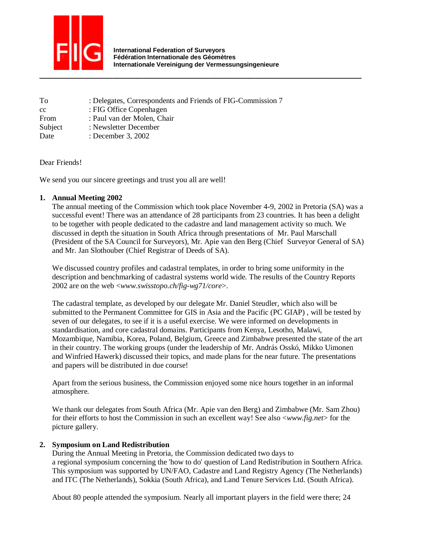

| To      | : Delegates, Correspondents and Friends of FIG-Commission 7 |
|---------|-------------------------------------------------------------|
| cc      | : FIG Office Copenhagen                                     |
| From    | : Paul van der Molen, Chair                                 |
| Subject | : Newsletter December                                       |
| Date    | : December 3, $2002$                                        |

Dear Friends!

We send you our sincere greetings and trust you all are well!

## **1. Annual Meeting 2002**

The annual meeting of the Commission which took place November 4-9, 2002 in Pretoria (SA) was a successful event! There was an attendance of 28 participants from 23 countries. It has been a delight to be together with people dedicated to the cadastre and land management activity so much. We discussed in depth the situation in South Africa through presentations of Mr. Paul Marschall (President of the SA Council for Surveyors), Mr. Apie van den Berg (Chief Surveyor General of SA) and Mr. Jan Slothouber (Chief Registrar of Deeds of SA).

We discussed country profiles and cadastral templates, in order to bring some uniformity in the description and benchmarking of cadastral systems world wide. The results of the Country Reports 2002 are on the web <*www.swisstopo.ch/fig-wg71/core*>.

The cadastral template, as developed by our delegate Mr. Daniel Steudler, which also will be submitted to the Permanent Committee for GIS in Asia and the Pacific (PC GIAP) , will be tested by seven of our delegates, to see if it is a useful exercise. We were informed on developments in standardisation, and core cadastral domains. Participants from Kenya, Lesotho, Malawi, Mozambique, Namibia, Korea, Poland, Belgium, Greece and Zimbabwe presented the state of the art in their country. The working groups (under the leadership of Mr. András Osskó, Mikko Uimonen and Winfried Hawerk) discussed their topics, and made plans for the near future. The presentations and papers will be distributed in due course!

Apart from the serious business, the Commission enjoyed some nice hours together in an informal atmosphere.

We thank our delegates from South Africa (Mr. Apie van den Berg) and Zimbabwe (Mr. Sam Zhou) for their efforts to host the Commission in such an excellent way! See also <*www.fig.net*> for the picture gallery.

## **2. Symposium on Land Redistribution**

During the Annual Meeting in Pretoria, the Commission dedicated two days to a regional symposium concerning the 'how to do' question of Land Redistribution in Southern Africa. This symposium was supported by UN/FAO, Cadastre and Land Registry Agency (The Netherlands) and ITC (The Netherlands), Sokkia (South Africa), and Land Tenure Services Ltd. (South Africa).

About 80 people attended the symposium. Nearly all important players in the field were there; 24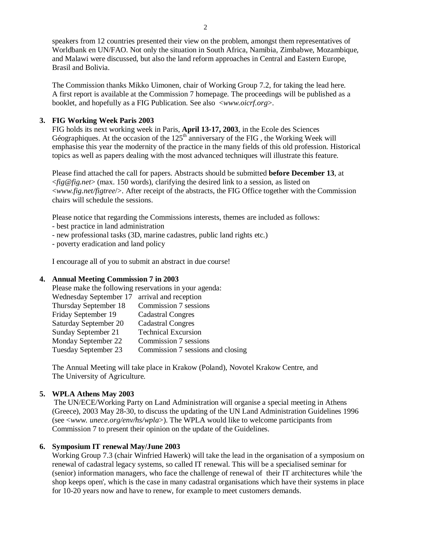speakers from 12 countries presented their view on the problem, amongst them representatives of Worldbank en UN/FAO. Not only the situation in South Africa, Namibia, Zimbabwe, Mozambique, and Malawi were discussed, but also the land reform approaches in Central and Eastern Europe, Brasil and Bolivia.

The Commission thanks Mikko Uimonen, chair of Working Group 7.2, for taking the lead here. A first report is available at the Commission 7 homepage. The proceedings will be published as a booklet, and hopefully as a FIG Publication. See also <*www.oicrf.org*>.

# **3. FIG Working Week Paris 2003**

FIG holds its next working week in Paris, **April 13-17, 2003**, in the Ecole des Sciences Géographiques. At the occasion of the  $125<sup>th</sup>$  anniversary of the FIG, the Working Week will emphasise this year the modernity of the practice in the many fields of this old profession. Historical topics as well as papers dealing with the most advanced techniques will illustrate this feature.

Please find attached the call for papers. Abstracts should be submitted **before December 13**, at <*fig@fig.net*> (max. 150 words), clarifying the desired link to a session, as listed on <*www.fig.net/figtree*/>. After receipt of the abstracts, the FIG Office together with the Commission chairs will schedule the sessions.

Please notice that regarding the Commissions interests, themes are included as follows:

- best practice in land administration
- new professional tasks (3D, marine cadastres, public land rights etc.)
- poverty eradication and land policy

I encourage all of you to submit an abstract in due course!

# **4. Annual Meeting Commission 7 in 2003**

| Please make the following reservations in your agenda: |                                   |  |  |
|--------------------------------------------------------|-----------------------------------|--|--|
| Wednesday September 17 arrival and reception           |                                   |  |  |
| Thursday September 18                                  | Commission 7 sessions             |  |  |
| Friday September 19                                    | <b>Cadastral Congres</b>          |  |  |
| Saturday September 20                                  | <b>Cadastral Congres</b>          |  |  |
| Sunday September 21                                    | <b>Technical Excursion</b>        |  |  |
| Monday September 22                                    | Commission 7 sessions             |  |  |
| Tuesday September 23                                   | Commission 7 sessions and closing |  |  |

The Annual Meeting will take place in Krakow (Poland), Novotel Krakow Centre, and The University of Agriculture.

# **5. WPLA Athens May 2003**

 The UN/ECE/Working Party on Land Administration will organise a special meeting in Athens (Greece), 2003 May 28-30, to discuss the updating of the UN Land Administration Guidelines 1996 (see <*www. unece.org/env/hs/wpla*>). The WPLA would like to welcome participants from Commission 7 to present their opinion on the update of the Guidelines.

# **6. Symposium IT renewal May/June 2003**

Working Group 7.3 (chair Winfried Hawerk) will take the lead in the organisation of a symposium on renewal of cadastral legacy systems, so called IT renewal. This will be a specialised seminar for (senior) information managers, who face the challenge of renewal of their IT architectures while 'the shop keeps open', which is the case in many cadastral organisations which have their systems in place for 10-20 years now and have to renew, for example to meet customers demands.